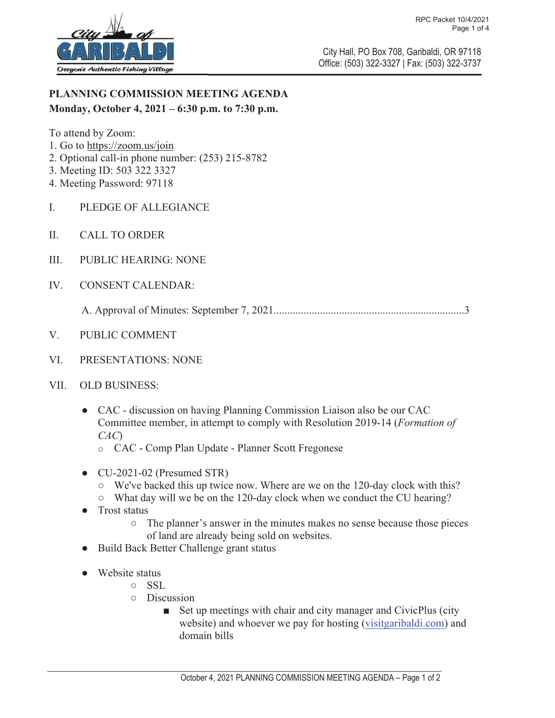

City Hall, PO Box 708, Garibaldi, OR 97118 Office: (503) 322-3327 | Fax: (503) 322-3737

## **PLANNING COMMISSION MEETING AGENDA Monday, October 4, 2021 – 6:30 p.m. to 7:30 p.m.**

To attend by Zoom:

- 1. Go to https://zoom.us/join
- 2. Optional call-in phone number: (253) 215-8782
- 3. Meeting ID: 503 322 3327
- 4. Meeting Password: 97118
- I. PLEDGE OF ALLEGIANCE
- II. CALL TO ORDER
- III. PUBLIC HEARING: NONE
- IV. CONSENT CALENDAR:

A. Approval of Minutes: September 7, 2021......................................................................3

- V. PUBLIC COMMENT
- VI. PRESENTATIONS: NONE
- VII. OLD BUSINESS:
	- CAC discussion on having Planning Commission Liaison also be our CAC Committee member, in attempt to comply with Resolution 2019-14 (*Formation of CAC*)
		- o CAC Comp Plan Update Planner Scott Fregonese
	- CU-2021-02 (Presumed STR)
		- $\circ$  We've backed this up twice now. Where are we on the 120-day clock with this?
		- $\circ$  What day will we be on the 120-day clock when we conduct the CU hearing?
	- Trost status
		- ż The planner's answer in the minutes makes no sense because those pieces of land are already being sold on websites.
	- Build Back Better Challenge grant status
	- Website status
		- o SSL
		- $O$  Discussion
			- $\blacksquare$  Set up meetings with chair and city manager and CivicPlus (city website) and whoever we pay for hosting (visitgaribaldi.com) and domain bills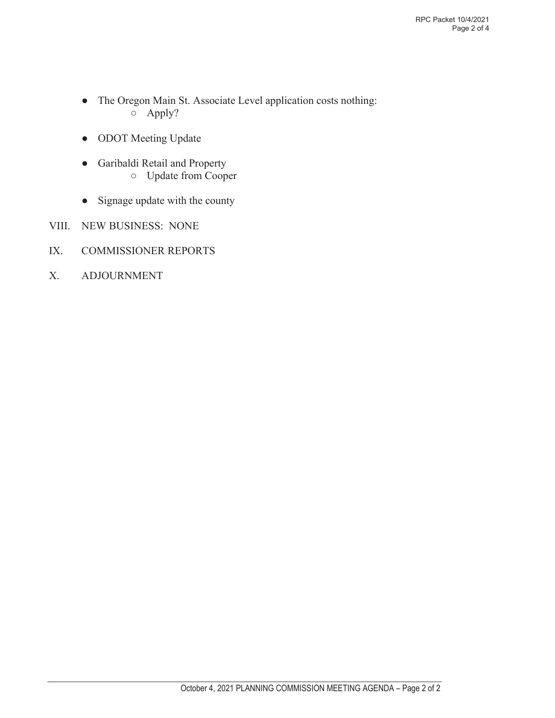- The Oregon Main St. Associate Level application costs nothing: ż Apply?
- ODOT Meeting Update
- Ɣ Garibaldi Retail and Property  $\circ$  Update from Cooper
- Signage update with the county
- VIII. NEW BUSINESS: NONE
- IX. COMMISSIONER REPORTS
- X. ADJOURNMENT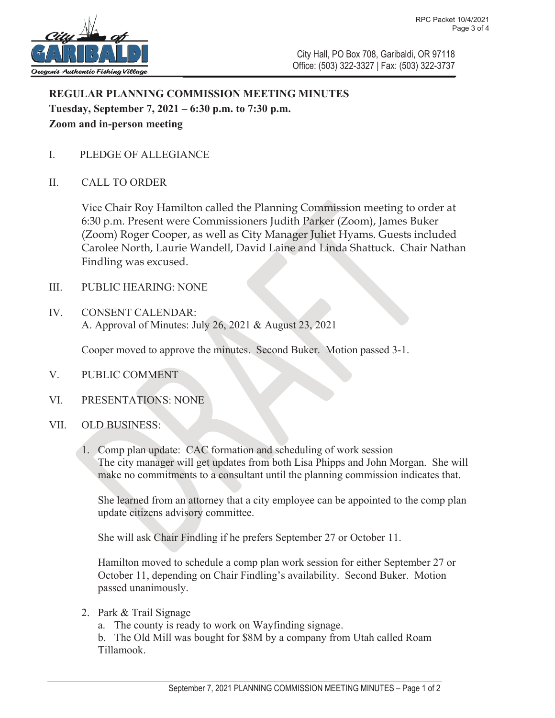

City Hall, PO Box 708, Garibaldi, OR 97118 Office: (503) 322-3327 | Fax: (503) 322-3737

## **REGULAR PLANNING COMMISSION MEETING MINUTES Tuesday, September 7, 2021 – 6:30 p.m. to 7:30 p.m. Zoom and in-person meeting**

- I. PLEDGE OF ALLEGIANCE
- II. CALL TO ORDER

Vice Chair Roy Hamilton called the Planning Commission meeting to order at 6:30 p.m. Present were Commissioners Judith Parker (Zoom), James Buker (Zoom) Roger Cooper, as well as City Manager Juliet Hyams. Guests included Carolee North, Laurie Wandell, David Laine and Linda Shattuck. Chair Nathan Findling was excused.

- III. PUBLIC HEARING: NONE
- IV. CONSENT CALENDAR: A. Approval of Minutes: July 26, 2021 & August 23, 2021

Cooper moved to approve the minutes. Second Buker. Motion passed 3-1.

- V. PUBLIC COMMENT
- VI. PRESENTATIONS: NONE
- VII. OLD BUSINESS:
	- 1. Comp plan update: CAC formation and scheduling of work session The city manager will get updates from both Lisa Phipps and John Morgan. She will make no commitments to a consultant until the planning commission indicates that.

She learned from an attorney that a city employee can be appointed to the comp plan update citizens advisory committee.

She will ask Chair Findling if he prefers September 27 or October 11.

Hamilton moved to schedule a comp plan work session for either September 27 or October 11, depending on Chair Findling's availability. Second Buker. Motion passed unanimously.

2. Park & Trail Signage

a. The county is ready to work on Wayfinding signage.

b. The Old Mill was bought for \$8M by a company from Utah called Roam Tillamook.